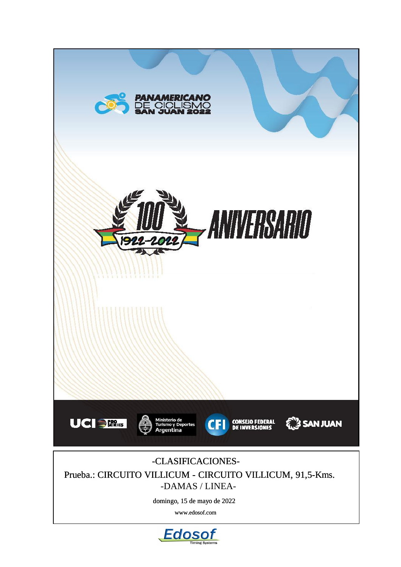